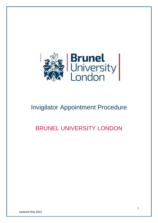

# Invigilator Appointment Procedure

## BRUNEL UNIVERSITY LONDON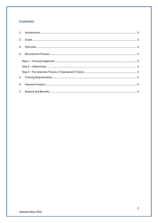## **Contents**

| 2.             |  |
|----------------|--|
| 3 <sub>1</sub> |  |
| $\mathbf{4}$ . |  |
|                |  |
|                |  |
|                |  |
| 5.             |  |
| 6.             |  |
|                |  |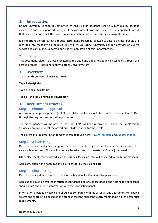## <span id="page-2-0"></span>**1. Introduction**

Brunel University London is committed to ensuring its students receive a high-quality student experience and are supported throughout the assessment processes. Exams are an important part of that experience for which the professionalism and function carried out by an Invigilator is key.

It is important therefore, that a robust recruitment process is followed to ensure the best people are recruited into these Invigilator roles. This will ensure Brunel University London provides an expert service and continuing support to our student population at this important time.

## <span id="page-2-1"></span>**2. Scope**

This document relates to those successfully recruited and appointed to Invigilator roles through the agreed process – It does not apply to other University staff.

#### <span id="page-2-2"></span>**3. Overview**

There are **three** types of Invigilator roles:

**Type 1 - Invigilator** 

**Type 2 - Lead Invigilators**

#### **Type 3 – Digital Examinations Invigilator**

## <span id="page-2-3"></span>**4. Recruitment Process**

#### <span id="page-2-4"></span>**Step 1 – Financial Approval**

A recruitment approval process (REAP) an[d Job Hazard f](https://intra.brunel.ac.uk/s/hr/for-managers/Pages/default.aspx)orm should be completed and sent via CHIME through the required authorisation processes.

The hiring manager will be advised that the REAP has been received in HR and the Employment Services team will request the advert and job description for these roles.

The advert and job description templates can be found here[: Advert Template](https://intra.brunel.ac.uk/s/hr/Documents/Advert%20Template%202016.docx?web=1) an[d Job Description.](https://intra.brunel.ac.uk/s/hr/Documents/Job%20Descriptions/Professional%20Administrative%20-%202018.docx)

#### <span id="page-2-5"></span>**Step 2 – Advertising**

Once the advert and job description have been checked by the Employment Services team, the vacancy is advertised. This would normally be advertised on the external Brunel jobs board.

Other placements for the advert such as Libraries; local clubs etc. will be placed by the hiring manager.

Applicants submit their application via e-Recruiter by the closing date.

#### <span id="page-2-6"></span>**Step 3 – Short listing**

Once the closing date is reached, the short-listing panel will review all applications.

Applications must be treated in strictest confidence and only those people shortlisting the applicants should share and discuss information with the shortlisting panel.

Information provided by applicants should be compared with the essential and desirable criteria being sought and short-listing based on the premise that the applicant clearly meets some / all the essential requirements.